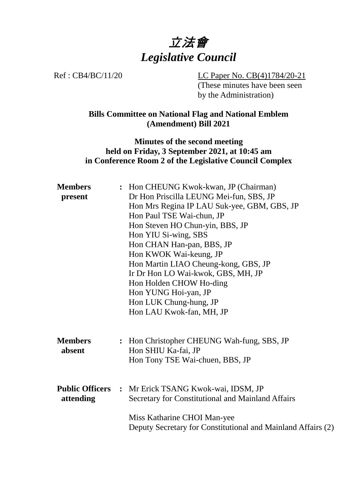

Ref : CB4/BC/11/20 LC Paper No. CB(4)1784/20-21 (These minutes have been seen by the Administration)

> **Bills Committee on National Flag and National Emblem (Amendment) Bill 2021**

#### **Minutes of the second meeting held on Friday, 3 September 2021, at 10:45 am in Conference Room 2 of the Legislative Council Complex**

| <b>Members</b>         | : Hon CHEUNG Kwok-kwan, JP (Chairman) |                                                              |  |
|------------------------|---------------------------------------|--------------------------------------------------------------|--|
| present                |                                       | Dr Hon Priscilla LEUNG Mei-fun, SBS, JP                      |  |
|                        |                                       | Hon Mrs Regina IP LAU Suk-yee, GBM, GBS, JP                  |  |
|                        |                                       | Hon Paul TSE Wai-chun, JP                                    |  |
|                        |                                       | Hon Steven HO Chun-yin, BBS, JP                              |  |
|                        |                                       | Hon YIU Si-wing, SBS                                         |  |
|                        |                                       | Hon CHAN Han-pan, BBS, JP                                    |  |
|                        |                                       | Hon KWOK Wai-keung, JP                                       |  |
|                        |                                       | Hon Martin LIAO Cheung-kong, GBS, JP                         |  |
|                        |                                       | Ir Dr Hon LO Wai-kwok, GBS, MH, JP                           |  |
|                        |                                       | Hon Holden CHOW Ho-ding                                      |  |
|                        |                                       | Hon YUNG Hoi-yan, JP                                         |  |
|                        |                                       | Hon LUK Chung-hung, JP                                       |  |
|                        |                                       | Hon LAU Kwok-fan, MH, JP                                     |  |
|                        |                                       |                                                              |  |
| <b>Members</b>         |                                       | : Hon Christopher CHEUNG Wah-fung, SBS, JP                   |  |
| absent                 |                                       | Hon SHIU Ka-fai, JP                                          |  |
|                        |                                       | Hon Tony TSE Wai-chuen, BBS, JP                              |  |
|                        |                                       |                                                              |  |
| <b>Public Officers</b> |                                       | : Mr Erick TSANG Kwok-wai, IDSM, JP                          |  |
| attending              |                                       | Secretary for Constitutional and Mainland Affairs            |  |
|                        |                                       | Miss Katharine CHOI Man-yee                                  |  |
|                        |                                       | Deputy Secretary for Constitutional and Mainland Affairs (2) |  |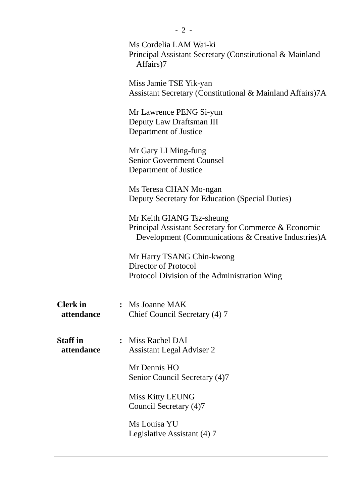|                               | Ms Cordelia LAM Wai-ki<br>Principal Assistant Secretary (Constitutional & Mainland<br>Affairs)7                                           |  |  |
|-------------------------------|-------------------------------------------------------------------------------------------------------------------------------------------|--|--|
|                               | Miss Jamie TSE Yik-yan<br>Assistant Secretary (Constitutional & Mainland Affairs)7A                                                       |  |  |
|                               | Mr Lawrence PENG Si-yun<br>Deputy Law Draftsman III<br>Department of Justice                                                              |  |  |
|                               | Mr Gary LI Ming-fung<br><b>Senior Government Counsel</b><br>Department of Justice                                                         |  |  |
|                               | Ms Teresa CHAN Mo-ngan<br>Deputy Secretary for Education (Special Duties)                                                                 |  |  |
|                               | Mr Keith GIANG Tsz-sheung<br>Principal Assistant Secretary for Commerce & Economic<br>Development (Communications & Creative Industries)A |  |  |
|                               | Mr Harry TSANG Chin-kwong<br>Director of Protocol<br>Protocol Division of the Administration Wing                                         |  |  |
| <b>Clerk</b> in<br>attendance | Ms Joanne MAK<br>Chief Council Secretary (4) 7                                                                                            |  |  |
| <b>Staff</b> in<br>attendance | : Miss Rachel DAI<br><b>Assistant Legal Adviser 2</b>                                                                                     |  |  |
|                               | Mr Dennis HO<br>Senior Council Secretary (4)7                                                                                             |  |  |
|                               | Miss Kitty LEUNG<br>Council Secretary (4)7                                                                                                |  |  |
|                               | Ms Louisa YU<br>Legislative Assistant (4) 7                                                                                               |  |  |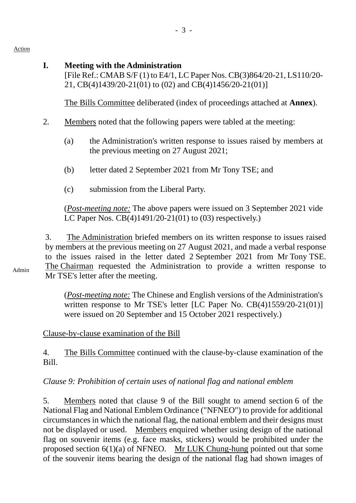Action

#### **I. Meeting with the Administration**

[File Ref.: CMAB S/F (1) to E4/1, LC Paper Nos. CB(3)864/20-21, LS110/20- 21, CB(4)1439/20-21(01) to (02) and CB(4)1456/20-21(01)]

1. The Bills Committee deliberated (index of proceedings attached at **Annex**).

- 2. Members noted that the following papers were tabled at the meeting:
	- (a) the Administration's written response to issues raised by members at the previous meeting on 27 August 2021;
	- (b) letter dated 2 September 2021 from Mr Tony TSE; and
	- (c) submission from the Liberal Party.

(*Post-meeting note:* The above papers were issued on 3 September 2021 vide LC Paper Nos. CB(4)1491/20-21(01) to (03) respectively.)

3. The Administration briefed members on its written response to issues raised by members at the previous meeting on 27 August 2021, and made a verbal response to the issues raised in the letter dated 2 September 2021 from Mr Tony TSE. The Chairman requested the Administration to provide a written response to Mr TSE's letter after the meeting.

Admin

(*Post-meeting note:* The Chinese and English versions of the Administration's written response to Mr TSE's letter [LC Paper No. CB(4)1559/20-21(01)] were issued on 20 September and 15 October 2021 respectively.)

# Clause-by-clause examination of the Bill

4. The Bills Committee continued with the clause-by-clause examination of the Bill.

# *Clause 9: Prohibition of certain uses of national flag and national emblem*

5. Members noted that clause 9 of the Bill sought to amend section 6 of the National Flag and National Emblem Ordinance ("NFNEO") to provide for additional circumstances in which the national flag, the national emblem and their designs must not be displayed or used. Members enquired whether using design of the national flag on souvenir items (e.g. face masks, stickers) would be prohibited under the proposed section 6(1)(a) of NFNEO. Mr LUK Chung-hung pointed out that some of the souvenir items bearing the design of the national flag had shown images of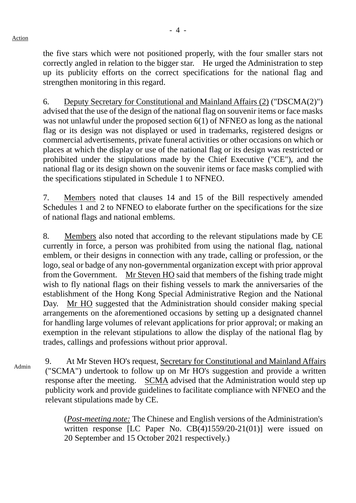the five stars which were not positioned properly, with the four smaller stars not correctly angled in relation to the bigger star. He urged the Administration to step up its publicity efforts on the correct specifications for the national flag and strengthen monitoring in this regard.

6. Deputy Secretary for Constitutional and Mainland Affairs (2) ("DSCMA(2)") advised that the use of the design of the national flag on souvenir items or face masks was not unlawful under the proposed section 6(1) of NFNEO as long as the national flag or its design was not displayed or used in trademarks, registered designs or commercial advertisements, private funeral activities or other occasions on which or places at which the display or use of the national flag or its design was restricted or prohibited under the stipulations made by the Chief Executive ("CE"), and the national flag or its design shown on the souvenir items or face masks complied with the specifications stipulated in Schedule 1 to NFNEO.

7. Members noted that clauses 14 and 15 of the Bill respectively amended Schedules 1 and 2 to NFNEO to elaborate further on the specifications for the size of national flags and national emblems.

8. Members also noted that according to the relevant stipulations made by CE currently in force, a person was prohibited from using the national flag, national emblem, or their designs in connection with any trade, calling or profession, or the logo, seal or badge of any non-governmental organization except with prior approval from the Government. Mr Steven HO said that members of the fishing trade might wish to fly national flags on their fishing vessels to mark the anniversaries of the establishment of the Hong Kong Special Administrative Region and the National Day. Mr HO suggested that the Administration should consider making special arrangements on the aforementioned occasions by setting up a designated channel for handling large volumes of relevant applications for prior approval; or making an exemption in the relevant stipulations to allow the display of the national flag by trades, callings and professions without prior approval.

Admin 9. At Mr Steven HO's request, Secretary for Constitutional and Mainland Affairs ("SCMA") undertook to follow up on Mr HO's suggestion and provide a written response after the meeting. SCMA advised that the Administration would step up publicity work and provide guidelines to facilitate compliance with NFNEO and the relevant stipulations made by CE.

> (*Post-meeting note:* The Chinese and English versions of the Administration's written response [LC Paper No. CB(4)1559/20-21(01)] were issued on 20 September and 15 October 2021 respectively.)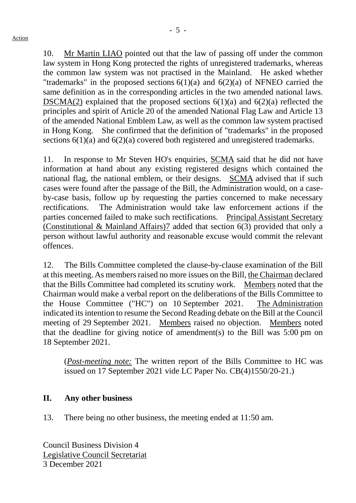10. Mr Martin LIAO pointed out that the law of passing off under the common law system in Hong Kong protected the rights of unregistered trademarks, whereas the common law system was not practised in the Mainland. He asked whether "trademarks" in the proposed sections  $6(1)(a)$  and  $6(2)(a)$  of NFNEO carried the same definition as in the corresponding articles in the two amended national laws. DSCMA(2) explained that the proposed sections  $6(1)(a)$  and  $6(2)(a)$  reflected the principles and spirit of Article 20 of the amended National Flag Law and Article 13 of the amended National Emblem Law, as well as the common law system practised in Hong Kong. She confirmed that the definition of "trademarks" in the proposed sections 6(1)(a) and 6(2)(a) covered both registered and unregistered trademarks.

11. In response to Mr Steven HO's enquiries, SCMA said that he did not have information at hand about any existing registered designs which contained the national flag, the national emblem, or their designs. SCMA advised that if such cases were found after the passage of the Bill, the Administration would, on a caseby-case basis, follow up by requesting the parties concerned to make necessary rectifications. The Administration would take law enforcement actions if the parties concerned failed to make such rectifications. Principal Assistant Secretary (Constitutional & Mainland Affairs)7 added that section 6(3) provided that only a person without lawful authority and reasonable excuse would commit the relevant offences.

12. The Bills Committee completed the clause-by-clause examination of the Bill at this meeting. As members raised no more issues on the Bill, the Chairman declared that the Bills Committee had completed its scrutiny work. Members noted that the Chairman would make a verbal report on the deliberations of the Bills Committee to the House Committee ("HC") on 10 September 2021. The Administration indicated its intention to resume the Second Reading debate on the Bill at the Council meeting of 29 September 2021. Members raised no objection. Members noted that the deadline for giving notice of amendment(s) to the Bill was 5:00 pm on 18 September 2021.

(*Post-meeting note:* The written report of the Bills Committee to HC was issued on 17 September 2021 vide LC Paper No. CB(4)1550/20-21.)

# **II. Any other business**

13. There being no other business, the meeting ended at 11:50 am.

Council Business Division 4 Legislative Council Secretariat 3 December 2021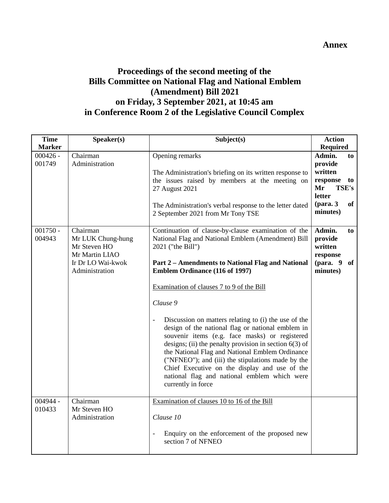#### **Annex**

### **Proceedings of the second meeting of the Bills Committee on National Flag and National Emblem (Amendment) Bill 2021 on Friday, 3 September 2021, at 10:45 am in Conference Room 2 of the Legislative Council Complex**

| <b>Time</b>          | Speaker(s)                                                                                             | Subject(s)                                                                                                                                                                                                                                                                                                                                                                                                                                                                                                                                                                                                                                                                                                                                      | <b>Action</b>                                                                                                                  |
|----------------------|--------------------------------------------------------------------------------------------------------|-------------------------------------------------------------------------------------------------------------------------------------------------------------------------------------------------------------------------------------------------------------------------------------------------------------------------------------------------------------------------------------------------------------------------------------------------------------------------------------------------------------------------------------------------------------------------------------------------------------------------------------------------------------------------------------------------------------------------------------------------|--------------------------------------------------------------------------------------------------------------------------------|
| <b>Marker</b>        |                                                                                                        |                                                                                                                                                                                                                                                                                                                                                                                                                                                                                                                                                                                                                                                                                                                                                 | <b>Required</b>                                                                                                                |
| $000426 -$<br>001749 | Chairman<br>Administration                                                                             | Opening remarks<br>The Administration's briefing on its written response to<br>the issues raised by members at the meeting on<br>27 August 2021<br>The Administration's verbal response to the letter dated<br>2 September 2021 from Mr Tony TSE                                                                                                                                                                                                                                                                                                                                                                                                                                                                                                | Admin.<br>to<br>provide<br>written<br>response<br>to<br><b>TSE's</b><br>Mr<br>letter<br>$1 (para. 3)$<br><b>of</b><br>minutes) |
| $001750 -$<br>004943 | Chairman<br>Mr LUK Chung-hung<br>Mr Steven HO<br>Mr Martin LIAO<br>Ir Dr LO Wai-kwok<br>Administration | Continuation of clause-by-clause examination of the<br>National Flag and National Emblem (Amendment) Bill<br>2021 ("the Bill")<br>Part 2 - Amendments to National Flag and National<br><b>Emblem Ordinance (116 of 1997)</b><br>Examination of clauses 7 to 9 of the Bill<br>Clause 9<br>Discussion on matters relating to (i) the use of the<br>design of the national flag or national emblem in<br>souvenir items (e.g. face masks) or registered<br>designs; (ii) the penalty provision in section $6(3)$ of<br>the National Flag and National Emblem Ordinance<br>("NFNEO"); and (iii) the stipulations made by the<br>Chief Executive on the display and use of the<br>national flag and national emblem which were<br>currently in force | Admin.<br>to<br>provide<br>written<br>response<br>(para. $9$ of<br>minutes)                                                    |
| 004944 -<br>010433   | Chairman<br>Mr Steven HO<br>Administration                                                             | Examination of clauses 10 to 16 of the Bill<br>Clause 10<br>Enquiry on the enforcement of the proposed new<br>$\blacksquare$<br>section 7 of NFNEO                                                                                                                                                                                                                                                                                                                                                                                                                                                                                                                                                                                              |                                                                                                                                |